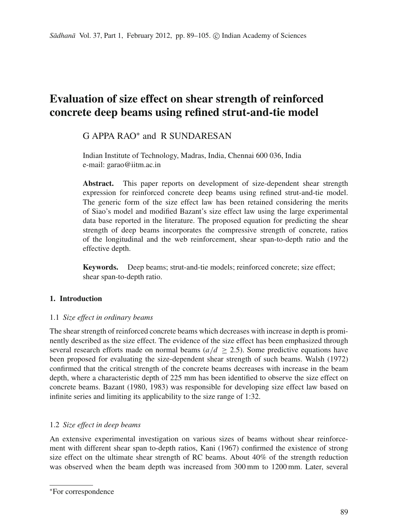# **Evaluation of size effect on shear strength of reinforced concrete deep beams using refined strut-and-tie model**

# G APPA RAO<sup>∗</sup> and R SUNDARESAN

Indian Institute of Technology, Madras, India, Chennai 600 036, India e-mail: garao@iitm.ac.in

**Abstract.** This paper reports on development of size-dependent shear strength expression for reinforced concrete deep beams using refined strut-and-tie model. The generic form of the size effect law has been retained considering the merits of Siao's model and modified Bazant's size effect law using the large experimental data base reported in the literature. The proposed equation for predicting the shear strength of deep beams incorporates the compressive strength of concrete, ratios of the longitudinal and the web reinforcement, shear span-to-depth ratio and the effective depth.

**Keywords.** Deep beams; strut-and-tie models; reinforced concrete; size effect; shear span-to-depth ratio.

# **1. Introduction**

# 1.1 *Size effect in ordinary beams*

The shear strength of reinforced concrete beams which decreases with increase in depth is prominently described as the size effect. The evidence of the size effect has been emphasized through several research efforts made on normal beams ( $a/d \ge 2.5$ ). Some predictive equations have been proposed for evaluating the size-dependent shear strength of such beams. Walsh (1972) confirmed that the critical strength of the concrete beams decreases with increase in the beam depth, where a characteristic depth of 225 mm has been identified to observe the size effect on concrete beams. Bazant (1980, 1983) was responsible for developing size effect law based on infinite series and limiting its applicability to the size range of 1:32.

# 1.2 *Size effect in deep beams*

An extensive experimental investigation on various sizes of beams without shear reinforcement with different shear span to-depth ratios, Kani (1967) confirmed the existence of strong size effect on the ultimate shear strength of RC beams. About 40% of the strength reduction was observed when the beam depth was increased from 300 mm to 1200 mm. Later, several

<sup>∗</sup>For correspondence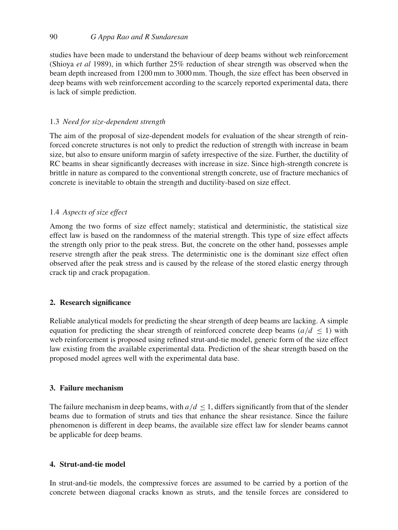studies have been made to understand the behaviour of deep beams without web reinforcement (Shioya *et al* 1989), in which further 25% reduction of shear strength was observed when the beam depth increased from 1200 mm to 3000 mm. Though, the size effect has been observed in deep beams with web reinforcement according to the scarcely reported experimental data, there is lack of simple prediction.

# 1.3 *Need for size-dependent strength*

The aim of the proposal of size-dependent models for evaluation of the shear strength of reinforced concrete structures is not only to predict the reduction of strength with increase in beam size, but also to ensure uniform margin of safety irrespective of the size. Further, the ductility of RC beams in shear significantly decreases with increase in size. Since high-strength concrete is brittle in nature as compared to the conventional strength concrete, use of fracture mechanics of concrete is inevitable to obtain the strength and ductility-based on size effect.

# 1.4 *Aspects of size effect*

Among the two forms of size effect namely; statistical and deterministic, the statistical size effect law is based on the randomness of the material strength. This type of size effect affects the strength only prior to the peak stress. But, the concrete on the other hand, possesses ample reserve strength after the peak stress. The deterministic one is the dominant size effect often observed after the peak stress and is caused by the release of the stored elastic energy through crack tip and crack propagation.

## **2. Research significance**

Reliable analytical models for predicting the shear strength of deep beams are lacking. A simple equation for predicting the shear strength of reinforced concrete deep beams  $(a/d \le 1)$  with web reinforcement is proposed using refined strut-and-tie model, generic form of the size effect law existing from the available experimental data. Prediction of the shear strength based on the proposed model agrees well with the experimental data base.

# **3. Failure mechanism**

The failure mechanism in deep beams, with  $a/d \le 1$ , differs significantly from that of the slender beams due to formation of struts and ties that enhance the shear resistance. Since the failure phenomenon is different in deep beams, the available size effect law for slender beams cannot be applicable for deep beams.

## **4. Strut-and-tie model**

In strut-and-tie models, the compressive forces are assumed to be carried by a portion of the concrete between diagonal cracks known as struts, and the tensile forces are considered to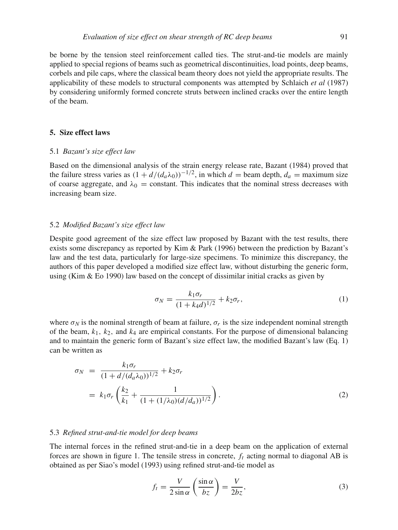be borne by the tension steel reinforcement called ties. The strut-and-tie models are mainly applied to special regions of beams such as geometrical discontinuities, load points, deep beams, corbels and pile caps, where the classical beam theory does not yield the appropriate results. The applicability of these models to structural components was attempted by Schlaich *et al* (1987) by considering uniformly formed concrete struts between inclined cracks over the entire length of the beam.

## **5. Size effect laws**

#### 5.1 *Bazant's size effect law*

Based on the dimensional analysis of the strain energy release rate, Bazant (1984) proved that the failure stress varies as  $(1 + d/(d_a\lambda_0))^{-1/2}$ , in which *d* = beam depth,  $d_a$  = maximum size of coarse aggregate, and  $\lambda_0$  = constant. This indicates that the nominal stress decreases with increasing beam size.

## 5.2 *Modified Bazant's size effect law*

Despite good agreement of the size effect law proposed by Bazant with the test results, there exists some discrepancy as reported by Kim & Park (1996) between the prediction by Bazant's law and the test data, particularly for large-size specimens. To minimize this discrepancy, the authors of this paper developed a modified size effect law, without disturbing the generic form, using (Kim  $\&$  Eo 1990) law based on the concept of dissimilar initial cracks as given by

$$
\sigma_N = \frac{k_1 \sigma_r}{(1 + k_4 d)^{1/2}} + k_2 \sigma_r,\tag{1}
$$

where  $\sigma_N$  is the nominal strength of beam at failure,  $\sigma_r$  is the size independent nominal strength of the beam,  $k_1$ ,  $k_2$ , and  $k_4$  are empirical constants. For the purpose of dimensional balancing and to maintain the generic form of Bazant's size effect law, the modified Bazant's law (Eq. 1) can be written as

$$
\sigma_N = \frac{k_1 \sigma_r}{(1 + d/(d_a \lambda_0))^{1/2}} + k_2 \sigma_r
$$
  
=  $k_1 \sigma_r \left( \frac{k_2}{k_1} + \frac{1}{(1 + (1/\lambda_0)(d/d_a))^{1/2}} \right)$ . (2)

#### 5.3 *Refined strut-and-tie model for deep beams*

The internal forces in the refined strut-and-tie in a deep beam on the application of external forces are shown in figure 1. The tensile stress in concrete,  $f_t$  acting normal to diagonal AB is obtained as per Siao's model (1993) using refined strut-and-tie model as

$$
f_t = \frac{V}{2\sin\alpha} \left(\frac{\sin\alpha}{bz}\right) = \frac{V}{2bz},\tag{3}
$$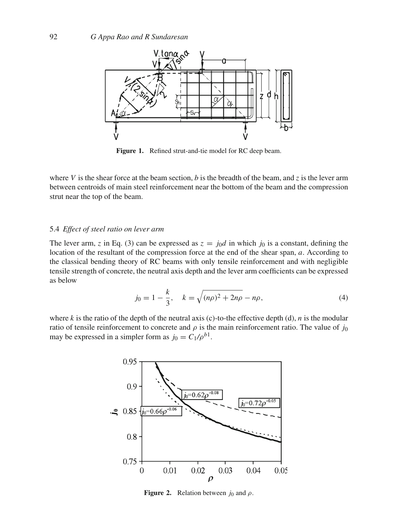

**Figure 1.** Refined strut-and-tie model for RC deep beam.

where *V* is the shear force at the beam section, *b* is the breadth of the beam, and *z* is the lever arm between centroids of main steel reinforcement near the bottom of the beam and the compression strut near the top of the beam.

## 5.4 *Effect of steel ratio on lever arm*

The lever arm, *z* in Eq. (3) can be expressed as  $z = j_0d$  in which  $j_0$  is a constant, defining the location of the resultant of the compression force at the end of the shear span, *a*. According to the classical bending theory of RC beams with only tensile reinforcement and with negligible tensile strength of concrete, the neutral axis depth and the lever arm coefficients can be expressed as below

$$
j_0 = 1 - \frac{k}{3}, \quad k = \sqrt{(n\rho)^2 + 2n\rho} - n\rho,
$$
\n(4)

where  $k$  is the ratio of the depth of the neutral axis (c)-to-the effective depth (d),  $n$  is the modular ratio of tensile reinforcement to concrete and  $\rho$  is the main reinforcement ratio. The value of *j*<sub>0</sub> may be expressed in a simpler form as  $j_0 = C_1/\rho^{b_1}$ .



**Figure 2.** Relation between  $j_0$  and  $\rho$ .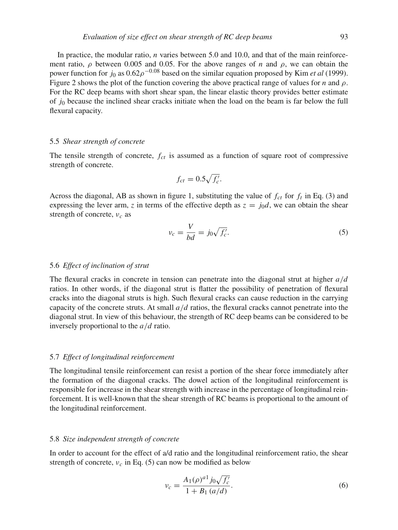In practice, the modular ratio, *n* varies between 5.0 and 10.0, and that of the main reinforcement ratio,  $\rho$  between 0.005 and 0.05. For the above ranges of *n* and  $\rho$ , we can obtain the power function for  $j_0$  as  $0.62\rho^{-0.08}$  based on the similar equation proposed by Kim *et al* (1999). Figure 2 shows the plot of the function covering the above practical range of values for *n* and  $\rho$ . For the RC deep beams with short shear span, the linear elastic theory provides better estimate of  $j_0$  because the inclined shear cracks initiate when the load on the beam is far below the full flexural capacity.

#### 5.5 *Shear strength of concrete*

The tensile strength of concrete,  $f_{ct}$  is assumed as a function of square root of compressive strength of concrete.

$$
f_{ct} = 0.5\sqrt{f_c'}.
$$

Across the diagonal, AB as shown in figure 1, substituting the value of  $f_{ct}$  for  $f_t$  in Eq. (3) and expressing the lever arm, *z* in terms of the effective depth as  $z = j_0d$ , we can obtain the shear strength of concrete, ν*<sup>c</sup>* as

$$
v_c = \frac{V}{bd} = j_0 \sqrt{f'_c}.\tag{5}
$$

# 5.6 *Effect of inclination of strut*

The flexural cracks in concrete in tension can penetrate into the diagonal strut at higher *a*/*d* ratios. In other words, if the diagonal strut is flatter the possibility of penetration of flexural cracks into the diagonal struts is high. Such flexural cracks can cause reduction in the carrying capacity of the concrete struts. At small *a*/*d* ratios, the flexural cracks cannot penetrate into the diagonal strut. In view of this behaviour, the strength of RC deep beams can be considered to be inversely proportional to the *a*/*d* ratio.

## 5.7 *Effect of longitudinal reinforcement*

The longitudinal tensile reinforcement can resist a portion of the shear force immediately after the formation of the diagonal cracks. The dowel action of the longitudinal reinforcement is responsible for increase in the shear strength with increase in the percentage of longitudinal reinforcement. It is well-known that the shear strength of RC beams is proportional to the amount of the longitudinal reinforcement.

#### 5.8 *Size independent strength of concrete*

In order to account for the effect of a/d ratio and the longitudinal reinforcement ratio, the shear strength of concrete,  $v_c$  in Eq. (5) can now be modified as below

$$
\nu_c = \frac{A_1(\rho)^{a_1} j_0 \sqrt{f'_c}}{1 + B_1(a/d)}.
$$
\n(6)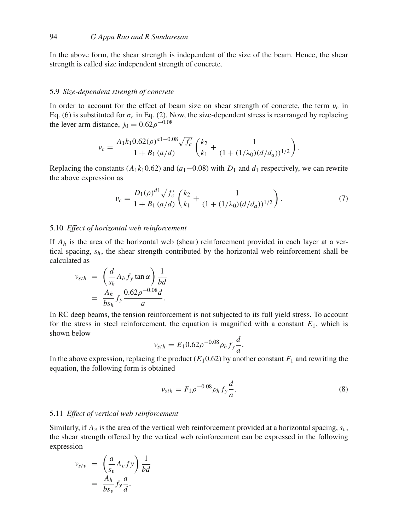In the above form, the shear strength is independent of the size of the beam. Hence, the shear strength is called size independent strength of concrete.

#### 5.9 *Size-dependent strength of concrete*

In order to account for the effect of beam size on shear strength of concrete, the term  $v_c$  in Eq. (6) is substituted for  $\sigma_r$  in Eq. (2). Now, the size-dependent stress is rearranged by replacing the lever arm distance,  $j_0 = 0.62 \rho^{-0.08}$ 

$$
\nu_c = \frac{A_1 k_1 0.62(\rho)^{a_1 - 0.08} \sqrt{f_c'}}{1 + B_1 (a/d)} \left( \frac{k_2}{k_1} + \frac{1}{(1 + (1/\lambda_0)(d/d_a))^{1/2}} \right).
$$

Replacing the constants ( $A_1k_10.62$ ) and ( $a_1$ –0.08) with  $D_1$  and  $d_1$  respectively, we can rewrite the above expression as

$$
\nu_c = \frac{D_1(\rho)^{d_1}\sqrt{f_c'}}{1 + B_1(a/d)} \left(\frac{k_2}{k_1} + \frac{1}{(1 + (1/\lambda_0)(d/d_a))^{1/2}}\right). \tag{7}
$$

## 5.10 *Effect of horizontal web reinforcement*

If *Ah* is the area of the horizontal web (shear) reinforcement provided in each layer at a vertical spacing, *sh*, the shear strength contributed by the horizontal web reinforcement shall be calculated as

$$
v_{sth} = \left(\frac{d}{s_h} A_h f_y \tan \alpha\right) \frac{1}{bd}
$$
  
= 
$$
\frac{A_h}{b s_h} f_y \frac{0.62 \rho^{-0.08} d}{a}.
$$

In RC deep beams, the tension reinforcement is not subjected to its full yield stress. To account for the stress in steel reinforcement, the equation is magnified with a constant  $E_1$ , which is shown below

$$
v_{sth} = E_1 0.62 \rho^{-0.08} \rho_h f_y \frac{d}{a}.
$$

In the above expression, replacing the product  $(E_1 0.62)$  by another constant  $F_1$  and rewriting the equation, the following form is obtained

$$
v_{sth} = F_1 \rho^{-0.08} \rho_h f_y \frac{d}{a}.
$$
\n(8)

#### 5.11 *Effect of vertical web reinforcement*

Similarly, if  $A_v$  is the area of the vertical web reinforcement provided at a horizontal spacing,  $s_v$ , the shear strength offered by the vertical web reinforcement can be expressed in the following expression

$$
\nu_{stv} = \left(\frac{a}{s_v} A_v f y\right) \frac{1}{bd}
$$

$$
= \frac{A_h}{b s_v} f_y \frac{a}{d}.
$$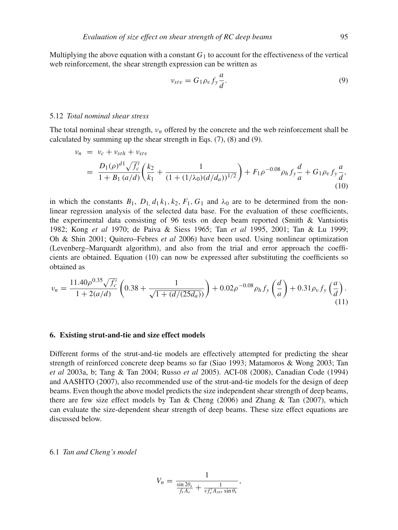Multiplying the above equation with a constant  $G_1$  to account for the effectiveness of the vertical web reinforcement, the shear strength expression can be written as

$$
\nu_{stv} = G_1 \rho_v f_y \frac{a}{d}.\tag{9}
$$

#### 5.12 *Total nominal shear stress*

The total nominal shear strength, ν*<sup>n</sup>* offered by the concrete and the web reinforcement shall be calculated by summing up the shear strength in Eqs. (7), (8) and (9).

$$
v_n = v_c + v_{sth} + v_{stv}
$$
  
= 
$$
\frac{D_1(\rho)^{d_1} \sqrt{f'_c}}{1 + B_1(a/d)} \left(\frac{k_2}{k_1} + \frac{1}{(1 + (1/\lambda_0)(d/d_a))^{1/2}}\right) + F_1\rho^{-0.08} \rho_h f_y \frac{d}{a} + G_1\rho_v f_y \frac{a}{d},
$$
  
(10)

in which the constants  $B_1$ ,  $D_1$ ,  $d_1k_1$ ,  $k_2$ ,  $F_1$ ,  $G_1$  and  $\lambda_0$  are to be determined from the nonlinear regression analysis of the selected data base. For the evaluation of these coefficients, the experimental data consisting of 96 tests on deep beam reported (Smith & Vantsiotis 1982; Kong *et al* 1970; de Paiva & Siess 1965; Tan *et al* 1995, 2001; Tan & Lu 1999; Oh & Shin 2001; Quitero–Febres *et al* 2006) have been used. Using nonlinear optimization (Levenberg–Marquardt algorithm), and also from the trial and error approach the coefficients are obtained. Equation (10) can now be expressed after substituting the coefficients so obtained as

$$
\nu_n = \frac{11.40\rho^{0.35}\sqrt{f_c}}{1 + 2(a/d)} \left( 0.38 + \frac{1}{\sqrt{1 + (d/(25d_a))}} \right) + 0.02\rho^{-0.08}\rho_h f_y\left(\frac{d}{a}\right) + 0.31\rho_v f_y\left(\frac{a}{d}\right). \tag{11}
$$

#### **6. Existing strut-and-tie and size effect models**

Different forms of the strut-and-tie models are effectively attempted for predicting the shear strength of reinforced concrete deep beams so far (Siao 1993; Matamoros & Wong 2003; Tan *et al* 2003a, b; Tang & Tan 2004; Russo *et al* 2005). ACI-08 (2008), Canadian Code (1994) and AASHTO (2007), also recommended use of the strut-and-tie models for the design of deep beams. Even though the above model predicts the size independent shear strength of deep beams, there are few size effect models by Tan & Cheng  $(2006)$  and Zhang & Tan  $(2007)$ , which can evaluate the size-dependent shear strength of deep beams. These size effect equations are discussed below.

#### 6.1 *Tan and Cheng's model*

$$
V_n = \frac{1}{\frac{\sin 2\theta_s}{f_t A_c} + \frac{1}{\nu f'_c A_{str} \sin \theta_s}},
$$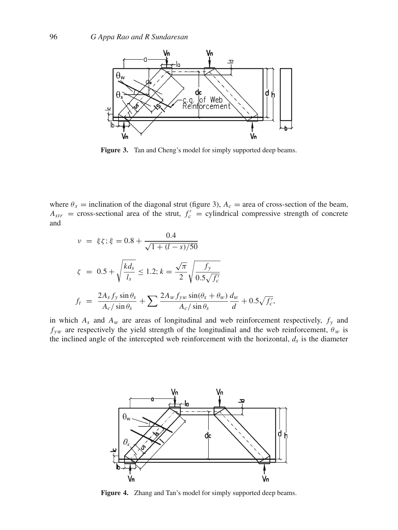

**Figure 3.** Tan and Cheng's model for simply supported deep beams.

where  $\theta_s$  = inclination of the diagonal strut (figure 3),  $A_c$  = area of cross-section of the beam,  $A_{str}$  = cross-sectional area of the strut,  $f'_c$  = cylindrical compressive strength of concrete and

$$
\nu = \xi \zeta; \xi = 0.8 + \frac{0.4}{\sqrt{1 + (l - s)/50}}
$$
  

$$
\zeta = 0.5 + \sqrt{\frac{kd_s}{l_s}} \le 1.2; k = \frac{\sqrt{\pi}}{2} \sqrt{\frac{f_y}{0.5\sqrt{f'_c}}}
$$
  

$$
f_t = \frac{2A_s f_y \sin \theta_s}{A_c / \sin \theta_s} + \sum \frac{2A_w f_{yw} \sin(\theta_s + \theta_w)}{A_c / \sin \theta_s} \frac{d_w}{d} + 0.5\sqrt{f'_c},
$$

in which  $A_s$  and  $A_w$  are areas of longitudinal and web reinforcement respectively,  $f_y$  and  $f_{vw}$  are respectively the yield strength of the longitudinal and the web reinforcement,  $\theta_w$  is the inclined angle of the intercepted web reinforcement with the horizontal,  $d_s$  is the diameter



**Figure 4.** Zhang and Tan's model for simply supported deep beams.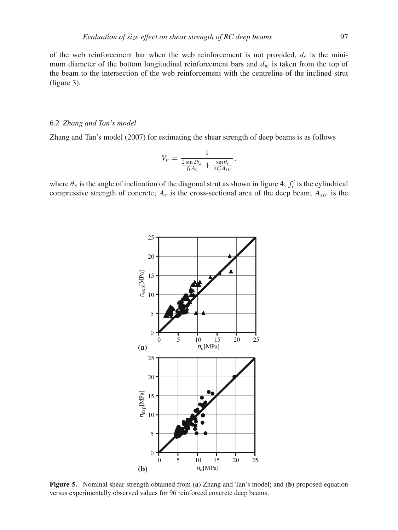of the web reinforcement bar when the web reinforcement is not provided,  $d_s$  is the minimum diameter of the bottom longitudinal reinforcement bars and  $d_w$  is taken from the top of the beam to the intersection of the web reinforcement with the centreline of the inclined strut (figure 3).

## 6.2 *Zhang and Tan's model*

Zhang and Tan's model (2007) for estimating the shear strength of deep beams is as follows

$$
V_n = \frac{1}{\frac{2\sin 2\theta_s}{f_t A_c} + \frac{\sin \theta_s}{\nu f'_c A_{str}}},
$$

where  $\theta_s$  is the angle of inclination of the diagonal strut as shown in figure 4;  $f'_c$  is the cylindrical compressive strength of concrete; *Ac* is the cross-sectional area of the deep beam; *Astr* is the



**Figure 5.** Nominal shear strength obtained from (**a**) Zhang and Tan's model; and (**b**) proposed equation versus experimentally observed values for 96 reinforced concrete deep beams.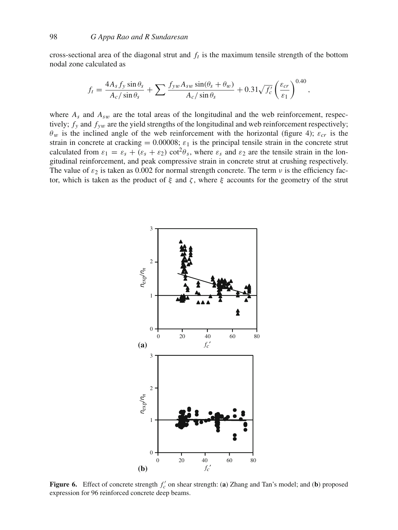cross-sectional area of the diagonal strut and  $f_t$  is the maximum tensile strength of the bottom nodal zone calculated as

$$
f_t = \frac{4A_s f_y \sin \theta_s}{A_c / \sin \theta_s} + \sum \frac{f_{yw} A_{sw} \sin(\theta_s + \theta_w)}{A_c / \sin \theta_s} + 0.31 \sqrt{f'_c} \left(\frac{\varepsilon_{cr}}{\varepsilon_1}\right)^{0.40},
$$

where  $A_s$  and  $A_{sw}$  are the total areas of the longitudinal and the web reinforcement, respectively;  $f_y$  and  $f_{yw}$  are the yield strengths of the longitudinal and web reinforcement respectively;  $\theta_w$  is the inclined angle of the web reinforcement with the horizontal (figure 4);  $\varepsilon_{cr}$  is the strain in concrete at cracking = 0.00008;  $\varepsilon_1$  is the principal tensile strain in the concrete strut calculated from  $\varepsilon_1 = \varepsilon_s + (\varepsilon_s + \varepsilon_2) \cot^2 \theta_s$ , where  $\varepsilon_s$  and  $\varepsilon_2$  are the tensile strain in the longitudinal reinforcement, and peak compressive strain in concrete strut at crushing respectively. The value of  $\varepsilon_2$  is taken as 0.002 for normal strength concrete. The term  $\nu$  is the efficiency factor, which is taken as the product of  $\xi$  and  $\zeta$ , where  $\xi$  accounts for the geometry of the strut



**Figure 6.** Effect of concrete strength  $f'_c$  on shear strength: (a) Zhang and Tan's model; and (b) proposed expression for 96 reinforced concrete deep beams.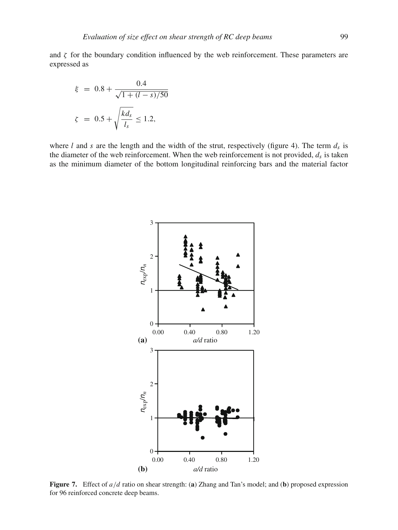and  $\zeta$  for the boundary condition influenced by the web reinforcement. These parameters are expressed as

$$
\xi = 0.8 + \frac{0.4}{\sqrt{1 + (l - s)/50}}
$$

$$
\zeta = 0.5 + \sqrt{\frac{kd_s}{l_s}} \le 1.2,
$$

where *l* and *s* are the length and the width of the strut, respectively (figure 4). The term  $d_s$  is the diameter of the web reinforcement. When the web reinforcement is not provided, *ds* is taken as the minimum diameter of the bottom longitudinal reinforcing bars and the material factor



**Figure 7.** Effect of *a*/*d* ratio on shear strength: (**a**) Zhang and Tan's model; and (**b**) proposed expression for 96 reinforced concrete deep beams.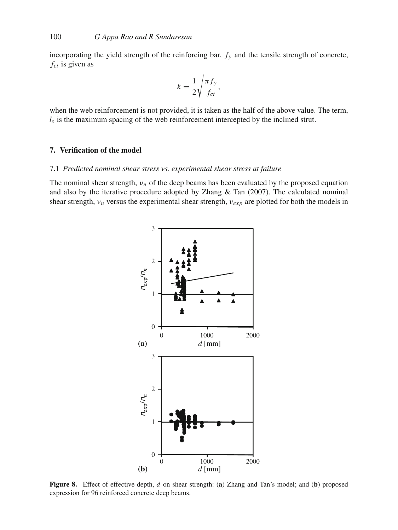incorporating the yield strength of the reinforcing bar,  $f<sub>y</sub>$  and the tensile strength of concrete, *fct* is given as

$$
k = \frac{1}{2} \sqrt{\frac{\pi f_y}{f_{ct}}},
$$

when the web reinforcement is not provided, it is taken as the half of the above value. The term,  $l<sub>s</sub>$  is the maximum spacing of the web reinforcement intercepted by the inclined strut.

# **7. Verification of the model**

# 7.1 *Predicted nominal shear stress vs. experimental shear stress at failure*

The nominal shear strength,  $v_n$  of the deep beams has been evaluated by the proposed equation and also by the iterative procedure adopted by Zhang & Tan (2007). The calculated nominal shear strength,  $v_n$  versus the experimental shear strength,  $v_{exp}$  are plotted for both the models in



**Figure 8.** Effect of effective depth, *d* on shear strength: (**a**) Zhang and Tan's model; and (**b**) proposed expression for 96 reinforced concrete deep beams.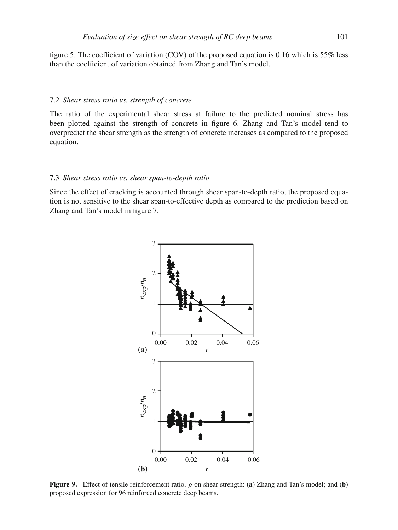figure 5. The coefficient of variation (COV) of the proposed equation is 0.16 which is 55% less than the coefficient of variation obtained from Zhang and Tan's model.

#### 7.2 *Shear stress ratio vs. strength of concrete*

The ratio of the experimental shear stress at failure to the predicted nominal stress has been plotted against the strength of concrete in figure 6. Zhang and Tan's model tend to overpredict the shear strength as the strength of concrete increases as compared to the proposed equation.

# 7.3 *Shear stress ratio vs. shear span-to-depth ratio*

Since the effect of cracking is accounted through shear span-to-depth ratio, the proposed equation is not sensitive to the shear span-to-effective depth as compared to the prediction based on Zhang and Tan's model in figure 7.



**Figure 9.** Effect of tensile reinforcement ratio, ρ on shear strength: (**a**) Zhang and Tan's model; and (**b**) proposed expression for 96 reinforced concrete deep beams.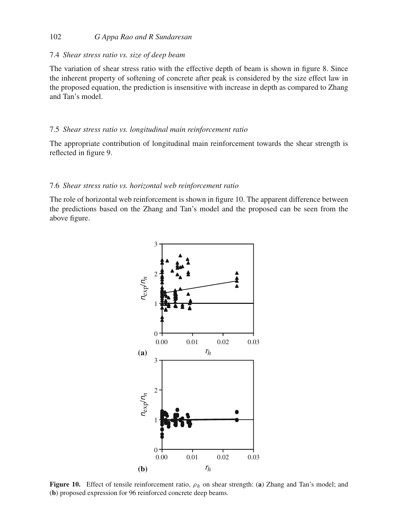# 102 *G Appa Rao and R Sundaresan*

#### 7.4 *Shear stress ratio vs. size of deep beam*

The variation of shear stress ratio with the effective depth of beam is shown in figure 8. Since the inherent property of softening of concrete after peak is considered by the size effect law in the proposed equation, the prediction is insensitive with increase in depth as compared to Zhang and Tan's model.

#### 7.5 *Shear stress ratio vs. longitudinal main reinforcement ratio*

The appropriate contribution of longitudinal main reinforcement towards the shear strength is reflected in figure 9.

## 7.6 *Shear stress ratio vs. horizontal web reinforcement ratio*

The role of horizontal web reinforcement is shown in figure 10. The apparent difference between the predictions based on the Zhang and Tan's model and the proposed can be seen from the above figure.



**Figure 10.** Effect of tensile reinforcement ratio, ρ*<sup>h</sup>* on shear strength: (**a**) Zhang and Tan's model; and (**b**) proposed expression for 96 reinforced concrete deep beams.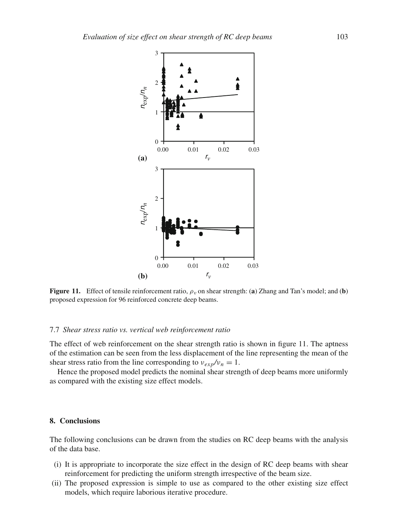

**Figure 11.** Effect of tensile reinforcement ratio,  $\rho_v$  on shear strength: (a) Zhang and Tan's model; and (b) proposed expression for 96 reinforced concrete deep beams.

#### 7.7 *Shear stress ratio vs. vertical web reinforcement ratio*

The effect of web reinforcement on the shear strength ratio is shown in figure 11. The aptness of the estimation can be seen from the less displacement of the line representing the mean of the shear stress ratio from the line corresponding to  $v_{exp}/v_n = 1$ .

Hence the proposed model predicts the nominal shear strength of deep beams more uniformly as compared with the existing size effect models.

#### **8. Conclusions**

The following conclusions can be drawn from the studies on RC deep beams with the analysis of the data base.

- (i) It is appropriate to incorporate the size effect in the design of RC deep beams with shear reinforcement for predicting the uniform strength irrespective of the beam size.
- (ii) The proposed expression is simple to use as compared to the other existing size effect models, which require laborious iterative procedure.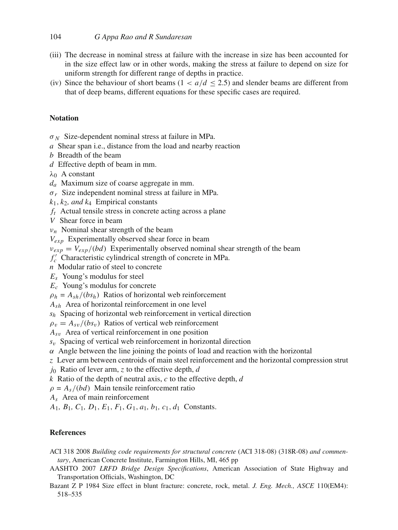- (iii) The decrease in nominal stress at failure with the increase in size has been accounted for in the size effect law or in other words, making the stress at failure to depend on size for uniform strength for different range of depths in practice.
- (iv) Since the behaviour of short beams ( $1 < a/d < 2.5$ ) and slender beams are different from that of deep beams, different equations for these specific cases are required.

# **Notation**

σ *<sup>N</sup>* Size-dependent nominal stress at failure in MPa.

- *a* Shear span i.e., distance from the load and nearby reaction
- *b* Breadth of the beam
- *d* Effective depth of beam in mm.

 $\lambda_0$  A constant

- *da* Maximum size of coarse aggregate in mm.
- σ*<sup>r</sup>* Size independent nominal stress at failure in MPa.
- $k_1$ ,  $k_2$ , and  $k_4$  Empirical constants
- *ft* Actual tensile stress in concrete acting across a plane
- *V* Shear force in beam
- $v_n$  Nominal shear strength of the beam
- *Vexp* Experimentally observed shear force in beam
- $v_{exp} = V_{exp}/(bd)$  Experimentally observed nominal shear strength of the beam

*f <sup>c</sup>* Characteristic cylindrical strength of concrete in MPa.

- *n* Modular ratio of steel to concrete
- *Es* Young's modulus for steel
- *Ec* Young's modulus for concrete
- $\rho_h = A_{sh}/(bs_h)$  Ratios of horizontal web reinforcement
- *Ash* Area of horizontal reinforcement in one level
- *sh* Spacing of horizontal web reinforcement in vertical direction

 $\rho_v = A_{sv}/(bs_v)$  Ratios of vertical web reinforcement

- *As*<sup>v</sup> Area of vertical reinforcement in one position
- *s*<sup>v</sup> Spacing of vertical web reinforcement in horizontal direction
- $\alpha$  Angle between the line joining the points of load and reaction with the horizontal
- *z* Lever arm between centroids of main steel reinforcement and the horizontal compression strut
- *j*<sup>0</sup> Ratio of lever arm, *z* to the effective depth, *d*
- *k* Ratio of the depth of neutral axis, *c* to the effective depth, *d*
- $\rho = A_s/(bd)$  Main tensile reinforcement ratio
- *As* Area of main reinforcement
- *A*1*, B*1*, C*1*, D*1, *E*1, *F*1, *G*1, *a*1*, b*1*, c*1, *d*<sup>1</sup> Constants.

# **References**

- ACI 318 2008 *Building code requirements for structural concrete* (ACI 318-08) (318R-08) *and commentary*, American Concrete Institute, Farmington Hills, MI, 465 pp
- AASHTO 2007 *LRFD Bridge Design Specifications*, American Association of State Highway and Transportation Officials, Washington, DC
- Bazant Z P 1984 Size effect in blunt fracture: concrete, rock, metal. *J. Eng. Mech., ASCE* 110(EM4): 518–535